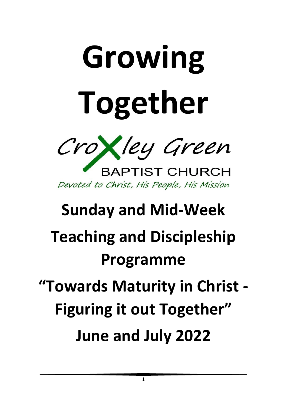# **Growing Together**



**BAPTIST CHURCH** Devoted to Christ, His People, His Mission

# **Sunday and Mid-Week Teaching and Discipleship Programme**

# **"Towards Maturity in Christ - Figuring it out Together"**

**June and July 2022**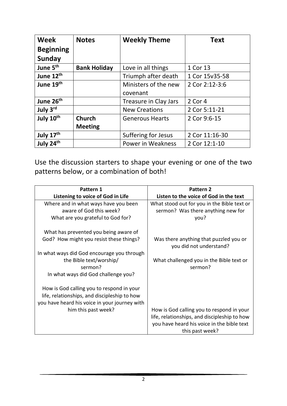| <b>Week</b>           | <b>Notes</b>        | <b>Weekly Theme</b>    | <b>Text</b>    |
|-----------------------|---------------------|------------------------|----------------|
| <b>Beginning</b>      |                     |                        |                |
| Sunday                |                     |                        |                |
| June 5 <sup>th</sup>  | <b>Bank Holiday</b> | Love in all things     | 1 Cor 13       |
| June 12 <sup>th</sup> |                     | Triumph after death    | 1 Cor 15v35-58 |
| June 19th             |                     | Ministers of the new   | 2 Cor 2:12-3:6 |
|                       |                     | covenant               |                |
| June 26 <sup>th</sup> |                     | Treasure in Clay Jars  | 2 Cor 4        |
| July 3rd              |                     | <b>New Creations</b>   | 2 Cor 5:11-21  |
| July 10 <sup>th</sup> | <b>Church</b>       | <b>Generous Hearts</b> | 2 Cor 9:6-15   |
|                       | <b>Meeting</b>      |                        |                |
| July 17th             |                     | Suffering for Jesus    | 2 Cor 11:16-30 |
| July 24th             |                     | Power in Weakness      | 2 Cor 12:1-10  |

Use the discussion starters to shape your evening or one of the two patterns below, or a combination of both!

| Pattern 1                                     | Pattern 2                                    |  |
|-----------------------------------------------|----------------------------------------------|--|
| Listening to voice of God in Life             | Listen to the voice of God in the text       |  |
| Where and in what ways have you been          | What stood out for you in the Bible text or  |  |
| aware of God this week?                       | sermon? Was there anything new for           |  |
| What are you grateful to God for?             | you?                                         |  |
| What has prevented you being aware of         |                                              |  |
| God? How might you resist these things?       | Was there anything that puzzled you or       |  |
|                                               | you did not understand?                      |  |
| In what ways did God encourage you through    |                                              |  |
| the Bible text/worship/                       | What challenged you in the Bible text or     |  |
| sermon?                                       | sermon?                                      |  |
| In what ways did God challenge you?           |                                              |  |
| How is God calling you to respond in your     |                                              |  |
| life, relationships, and discipleship to how  |                                              |  |
| you have heard his voice in your journey with |                                              |  |
| him this past week?                           | How is God calling you to respond in your    |  |
|                                               | life, relationships, and discipleship to how |  |
|                                               | you have heard his voice in the bible text   |  |
|                                               | this past week?                              |  |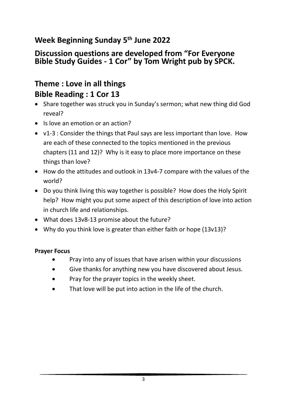# **Week Beginning Sunday 5 th June 2022**

#### **Discussion questions are developed from "For Everyone Bible Study Guides - 1 Cor" by Tom Wright pub by SPCK.**

# **Theme : Love in all things Bible Reading : 1 Cor 13**

- Share together was struck you in Sunday's sermon; what new thing did God reveal?
- Is love an emotion or an action?
- v1-3 : Consider the things that Paul says are less important than love. How are each of these connected to the topics mentioned in the previous chapters (11 and 12)? Why is it easy to place more importance on these things than love?
- How do the attitudes and outlook in 13v4-7 compare with the values of the world?
- Do you think living this way together is possible? How does the Holy Spirit help? How might you put some aspect of this description of love into action in church life and relationships.
- What does 13v8-13 promise about the future?
- Why do you think love is greater than either faith or hope (13v13)?

- Pray into any of issues that have arisen within your discussions
- Give thanks for anything new you have discovered about Jesus.
- Pray for the prayer topics in the weekly sheet.
- That love will be put into action in the life of the church.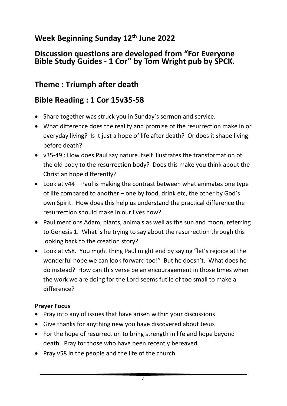# **Week Beginning Sunday 12th June 2022**

#### **Discussion questions are developed from "For Everyone Bible Study Guides - 1 Cor" by Tom Wright pub by SPCK.**

# **Theme : Triumph after death**

# **Bible Reading : 1 Cor 15v35-58**

- Share together was struck you in Sunday's sermon and service.
- What difference does the reality and promise of the resurrection make in or everyday living? Is it just a hope of life after death? Or does it shape living before death?
- v35-49 : How does Paul say nature itself illustrates the transformation of the old body to the resurrection body? Does this make you think about the Christian hope differently?
- Look at v44 Paul is making the contrast between what animates one type of life compared to another – one by food, drink etc, the other by God's own Spirit. How does this help us understand the practical difference the resurrection should make in our lives now?
- Paul mentions Adam, plants, animals as well as the sun and moon, referring to Genesis 1. What is he trying to say about the resurrection through this looking back to the creation story?
- Look at v58. You might thing Paul might end by saying "let's rejoice at the wonderful hope we can look forward too!" But he doesn't. What does he do instead? How can this verse be an encouragement in those times when the work we are doing for the Lord seems futile of too small to make a difference?

- Pray into any of issues that have arisen within your discussions
- Give thanks for anything new you have discovered about Jesus
- For the hope of resurrection to bring strength in life and hope beyond death. Pray for those who have been recently bereaved.
- Pray v58 in the people and the life of the church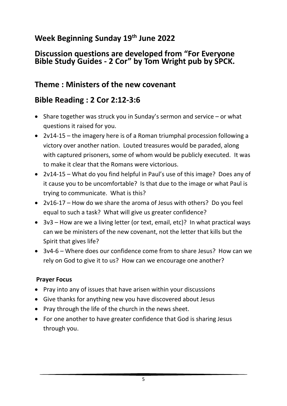# **Week Beginning Sunday 19th June 2022**

#### **Discussion questions are developed from "For Everyone Bible Study Guides - 2 Cor" by Tom Wright pub by SPCK.**

### **Theme : Ministers of the new covenant**

# **Bible Reading : 2 Cor 2:12-3:6**

- Share together was struck you in Sunday's sermon and service or what questions it raised for you.
- 2v14-15 the imagery here is of a Roman triumphal procession following a victory over another nation. Louted treasures would be paraded, along with captured prisoners, some of whom would be publicly executed. It was to make it clear that the Romans were victorious.
- 2v14-15 What do you find helpful in Paul's use of this image? Does any of it cause you to be uncomfortable? Is that due to the image or what Paul is trying to communicate. What is this?
- 2v16-17 How do we share the aroma of Jesus with others? Do you feel equal to such a task? What will give us greater confidence?
- 3v3 How are we a living letter (or text, email, etc)? In what practical ways can we be ministers of the new covenant, not the letter that kills but the Spirit that gives life?
- 3v4-6 Where does our confidence come from to share Jesus? How can we rely on God to give it to us? How can we encourage one another?

- Pray into any of issues that have arisen within your discussions
- Give thanks for anything new you have discovered about Jesus
- Pray through the life of the church in the news sheet.
- For one another to have greater confidence that God is sharing Jesus through you.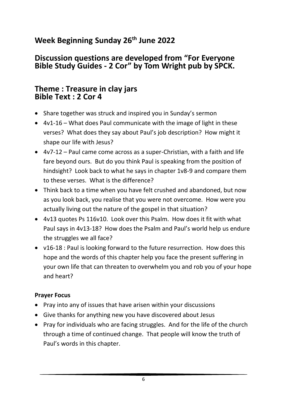# **Week Beginning Sunday 26th June 2022**

#### **Discussion questions are developed from "For Everyone Bible Study Guides - 2 Cor" by Tom Wright pub by SPCK.**

#### **Theme : Treasure in clay jars Bible Text : 2 Cor 4**

- Share together was struck and inspired you in Sunday's sermon
- 4v1-16 What does Paul communicate with the image of light in these verses? What does they say about Paul's job description? How might it shape our life with Jesus?
- 4v7-12 Paul came come across as a super-Christian, with a faith and life fare beyond ours. But do you think Paul is speaking from the position of hindsight? Look back to what he says in chapter 1v8-9 and compare them to these verses. What is the difference?
- Think back to a time when you have felt crushed and abandoned, but now as you look back, you realise that you were not overcome. How were you actually living out the nature of the gospel in that situation?
- 4v13 quotes Ps 116v10. Look over this Psalm. How does it fit with what Paul says in 4v13-18? How does the Psalm and Paul's world help us endure the struggles we all face?
- v16-18 : Paul is looking forward to the future resurrection. How does this hope and the words of this chapter help you face the present suffering in your own life that can threaten to overwhelm you and rob you of your hope and heart?

- Pray into any of issues that have arisen within your discussions
- Give thanks for anything new you have discovered about Jesus
- Pray for individuals who are facing struggles. And for the life of the church through a time of continued change. That people will know the truth of Paul's words in this chapter.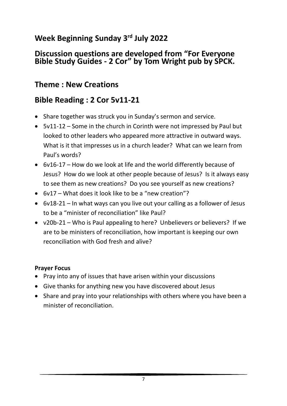# **Week Beginning Sunday 3 rd July 2022**

#### **Discussion questions are developed from "For Everyone Bible Study Guides - 2 Cor" by Tom Wright pub by SPCK.**

# **Theme : New Creations**

# **Bible Reading : 2 Cor 5v11-21**

- Share together was struck you in Sunday's sermon and service.
- 5v11-12 Some in the church in Corinth were not impressed by Paul but looked to other leaders who appeared more attractive in outward ways. What is it that impresses us in a church leader? What can we learn from Paul's words?
- 6v16-17 How do we look at life and the world differently because of Jesus? How do we look at other people because of Jesus? Is it always easy to see them as new creations? Do you see yourself as new creations?
- 6v17 What does it look like to be a "new creation"?
- 6v18-21 In what ways can you live out your calling as a follower of Jesus to be a "minister of reconciliation" like Paul?
- v20b-21 Who is Paul appealing to here? Unbelievers or believers? If we are to be ministers of reconciliation, how important is keeping our own reconciliation with God fresh and alive?

- Pray into any of issues that have arisen within your discussions
- Give thanks for anything new you have discovered about Jesus
- Share and pray into your relationships with others where you have been a minister of reconciliation.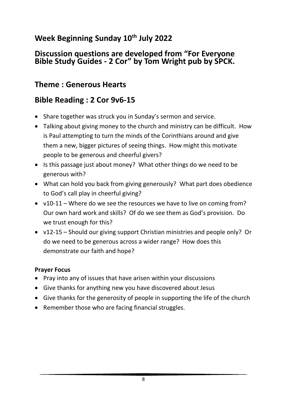# **Week Beginning Sunday 10th July 2022**

#### **Discussion questions are developed from "For Everyone Bible Study Guides - 2 Cor" by Tom Wright pub by SPCK.**

# **Theme : Generous Hearts**

# **Bible Reading : 2 Cor 9v6-15**

- Share together was struck you in Sunday's sermon and service.
- Talking about giving money to the church and ministry can be difficult. How is Paul attempting to turn the minds of the Corinthians around and give them a new, bigger pictures of seeing things. How might this motivate people to be generous and cheerful givers?
- Is this passage just about money? What other things do we need to be generous with?
- What can hold you back from giving generously? What part does obedience to God's call play in cheerful giving?
- v10-11 Where do we see the resources we have to live on coming from? Our own hard work and skills? Of do we see them as God's provision. Do we trust enough for this?
- v12-15 Should our giving support Christian ministries and people only? Or do we need to be generous across a wider range? How does this demonstrate our faith and hope?

- Pray into any of issues that have arisen within your discussions
- Give thanks for anything new you have discovered about Jesus
- Give thanks for the generosity of people in supporting the life of the church
- Remember those who are facing financial struggles.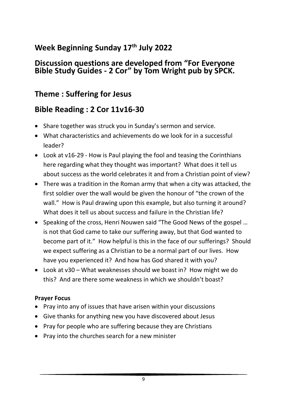# **Week Beginning Sunday 17th July 2022**

#### **Discussion questions are developed from "For Everyone Bible Study Guides - 2 Cor" by Tom Wright pub by SPCK.**

# **Theme : Suffering for Jesus**

# **Bible Reading : 2 Cor 11v16-30**

- Share together was struck you in Sunday's sermon and service.
- What characteristics and achievements do we look for in a successful leader?
- Look at v16-29 How is Paul playing the fool and teasing the Corinthians here regarding what they thought was important? What does it tell us about success as the world celebrates it and from a Christian point of view?
- There was a tradition in the Roman army that when a city was attacked, the first soldier over the wall would be given the honour of "the crown of the wall." How is Paul drawing upon this example, but also turning it around? What does it tell us about success and failure in the Christian life?
- Speaking of the cross, Henri Nouwen said "The Good News of the gospel … is not that God came to take our suffering away, but that God wanted to become part of it." How helpful is this in the face of our sufferings? Should we expect suffering as a Christian to be a normal part of our lives. How have you experienced it? And how has God shared it with you?
- Look at v30 What weaknesses should we boast in? How might we do this? And are there some weakness in which we shouldn't boast?

- Pray into any of issues that have arisen within your discussions
- Give thanks for anything new you have discovered about Jesus
- Pray for people who are suffering because they are Christians
- Pray into the churches search for a new minister